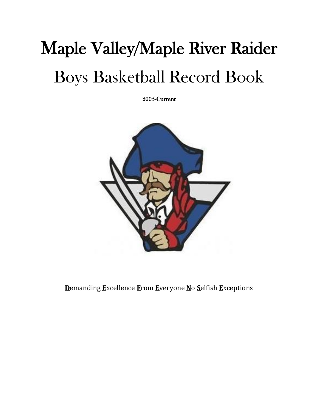# Maple Valley/Maple River Raider Boys Basketball Record Book

2005-Current



**D**emanding **E**xcellence **F**rom **E**veryone **N**o **S**elfish **E**xceptions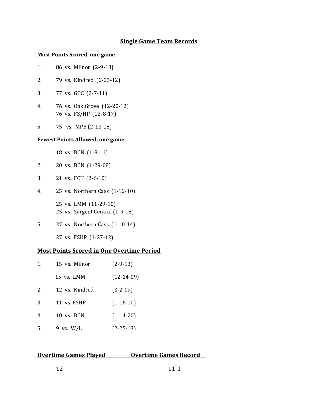## **Single Game Team Records**

#### **Most Points Scored, one game**

- 1. 86 vs. Milnor (2-9-13)
- 2. 79 vs. Kindred (2-23-12)
- 3. 77 vs. GCC (2-7-11)
- 4. 76 vs. Oak Grove (12-20-12) 76 vs. FS/HP (12-8-17)
- 5. 75 vs. MPB (2-13-18)

#### **Fewest Points Allowed, one game**

- 1. 18 vs. BCN (1-8-11)
- 2. 20 vs. BCN (1-29-08)
- 3. 21 vs. FCT (2-6-10)
- 4. 25 vs. Northern Cass (1-12-10) 25 vs. LMM (11-29-10) 25 vs. Sargent Central (1-9-18)
- 5. 27 vs. Northern Cass (1-10-14)

27 vs. FSHP (1-27-12)

#### **Most Points Scored in One Overtime Period**

| 1. | 15 vs. Milnor  | $(2-9-13)$   |
|----|----------------|--------------|
|    | 15 vs. LMM     | $(12-14-09)$ |
| 2. | 12 vs. Kindred | $(3-2-09)$   |
| 3. | 11 vs. FSHP    | $(1-16-10)$  |
| 4. | 10 vs. BCN     | $(1-14-20)$  |
| 5. | 9 vs. $W/L$    | $(2-25-13)$  |

#### **Overtime Games Played Covertime Games Record**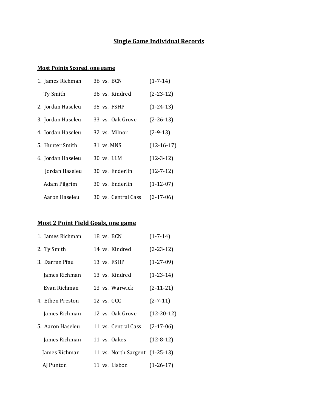## **Single Game Individual Records**

#### **Most Points Scored, one game**

| 1. James Richman  | 36 vs. BCN          | $(1 - 7 - 14)$  |
|-------------------|---------------------|-----------------|
| Ty Smith          | 36 vs. Kindred      | $(2-23-12)$     |
| 2. Jordan Haseleu | 35 vs. FSHP         | $(1-24-13)$     |
| 3. Jordan Haseleu | 33 vs. Oak Grove    | $(2-26-13)$     |
| 4. Jordan Haseleu | 32 vs. Milnor       | $(2-9-13)$      |
| 5. Hunter Smith   | 31 vs. MNS          | $(12-16-17)$    |
| 6. Jordan Haseleu | 30 vs. LLM          | $(12-3-12)$     |
| Jordan Haseleu    | 30 vs. Enderlin     | $(12 - 7 - 12)$ |
| Adam Pilgrim      | 30 vs. Enderlin     | $(1-12-07)$     |
| Aaron Haseleu     | 30 vs. Central Cass | $(2-17-06)$     |

#### **Most 2 Point Field Goals, one game**

| 1. James Richman |  | 18 vs. BCN                     | $(1 - 7 - 14)$ |
|------------------|--|--------------------------------|----------------|
| 2. Ty Smith      |  | 14 vs. Kindred                 | $(2-23-12)$    |
| 3. Darren Pfau   |  | 13 vs. FSHP                    | $(1-27-09)$    |
| James Richman    |  | 13 vs. Kindred                 | $(1-23-14)$    |
| Evan Richman     |  | 13 vs. Warwick                 | $(2-11-21)$    |
| 4. Ethen Preston |  | 12 vs. GCC                     | $(2 - 7 - 11)$ |
| James Richman    |  | 12 vs. Oak Grove               | $(12-20-12)$   |
| 5. Aaron Haseleu |  | 11 vs. Central Cass            | $(2-17-06)$    |
| James Richman    |  | 11 vs. Oakes                   | $(12-8-12)$    |
| James Richman    |  | 11 vs. North Sargent (1-25-13) |                |
| AJ Punton        |  | 11 vs. Lisbon                  | $(1-26-17)$    |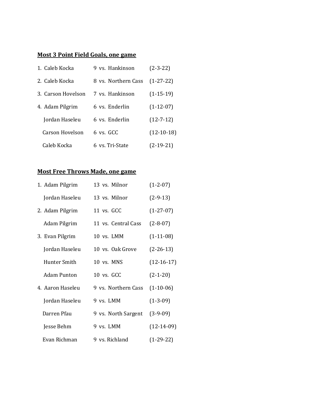#### **Most 3 Point Field Goals, one game**

| 1. Caleb Kocka     | 9 vs. Hankinson     | $(2-3-22)$      |
|--------------------|---------------------|-----------------|
| 2. Caleb Kocka     | 8 vs. Northern Cass | $(1-27-22)$     |
| 3. Carson Hovelson | 7 vs. Hankinson     | $(1-15-19)$     |
| 4. Adam Pilgrim    | 6 vs. Enderlin      | $(1-12-07)$     |
| Jordan Haseleu     | 6 vs. Enderlin      | $(12 - 7 - 12)$ |
| Carson Hovelson    | 6 vs. GCC           | $(12-10-18)$    |
| Caleb Kocka        | 6 vs. Tri-State     | $(2-19-21)$     |

## **Most Free Throws Made, one game**

| 1. Adam Pilgrim    | 13 vs. Milnor       | $(1-2-07)$   |
|--------------------|---------------------|--------------|
| Jordan Haseleu     | 13 vs. Milnor       | $(2-9-13)$   |
| 2. Adam Pilgrim    | 11 vs. GCC          | $(1-27-07)$  |
| Adam Pilgrim       | 11 vs. Central Cass | $(2-8-07)$   |
| 3. Evan Pilgrim    | 10 vs. LMM          | $(1-11-08)$  |
| Jordan Haseleu     | 10 ys. Oak Grove    | $(2-26-13)$  |
| Hunter Smith       | 10 vs. MNS          | $(12-16-17)$ |
| <b>Adam Punton</b> | 10 ys. GCC          | $(2-1-20)$   |
| 4. Aaron Haseleu   | 9 vs. Northern Cass | $(1-10-06)$  |
| Jordan Haseleu     | 9 vs. LMM           | $(1-3-09)$   |
| Darren Pfau        | 9 vs. North Sargent | $(3-9-09)$   |
| Jesse Behm         | 9 vs. LMM           | $(12-14-09)$ |
| Evan Richman       | 9 vs. Richland      | $(1-29-22)$  |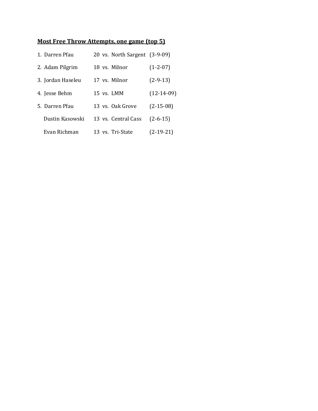## **Most Free Throw Attempts, one game (top 5)**

| 1. Darren Pfau    |              | 20 vs. North Sargent (3-9-09) |              |
|-------------------|--------------|-------------------------------|--------------|
| 2. Adam Pilgrim   |              | 18 vs. Milnor                 | $(1-2-07)$   |
| 3. Jordan Haseleu |              | 17 vs. Milnor                 | $(2-9-13)$   |
| 4. Jesse Behm     | $15$ vs. LMM |                               | $(12-14-09)$ |
| 5. Darren Pfau    |              | 13 ys. Oak Grove              | $(2-15-08)$  |
| Dustin Kasowski   |              | 13 vs. Central Cass           | $(2-6-15)$   |
| Evan Richman      |              | 13 vs. Tri-State              | $(2-19-21)$  |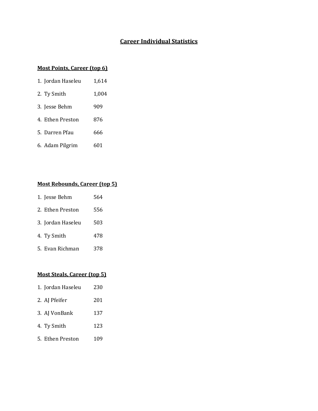# **Career Individual Statistics**

#### **Most Points, Career (top 6)**

| 1. Jordan Haseleu | 1,614 |
|-------------------|-------|
| 2. Ty Smith       | 1,004 |
| 3. Jesse Behm     | 909   |
| 4. Ethen Preston  | 876   |
| 5. Darren Pfau    | 666   |
| 6. Adam Pilgrim   | 601   |

# **Most Rebounds, Career (top 5)**

| 1. Jesse Behm     | 564 |
|-------------------|-----|
| 2. Ethen Preston  | 556 |
| 3. Jordan Haseleu | 503 |
| 4. Ty Smith       | 478 |
| 5. Evan Richman   | 378 |

### **Most Steals, Career (top 5)**

| 1. Jordan Haseleu | 230 |
|-------------------|-----|
| 2. AJ Pfeifer     | 201 |
| 3. AJ VonBank     | 137 |
| 4. Ty Smith       | 123 |
| 5. Ethen Preston  | 109 |